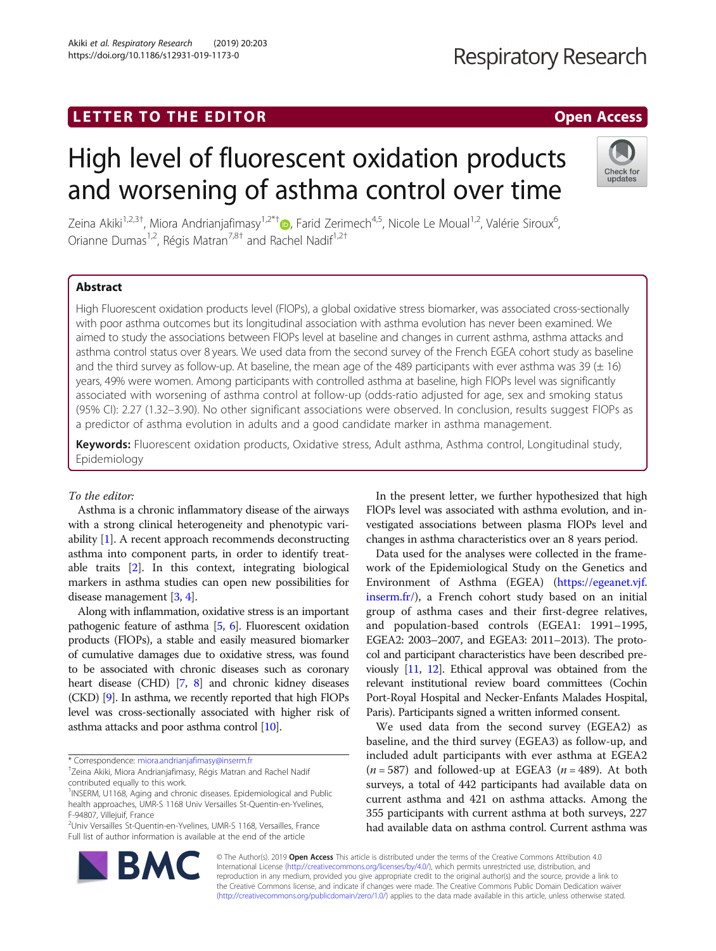# LETTER TO THE EDITOR **CONSIDERING A CONSIDERATION**

# High level of fluorescent oxidation products and worsening of asthma control over time

Zeina Akiki<sup>1[,](http://orcid.org/0000-0002-5791-0772)2,3†</sup>, Miora Andrianjafimasy<sup>1,2\*†</sup>®, Farid Zerimech<sup>4,5</sup>, Nicole Le Moual<sup>1,2</sup>, Valérie Siroux<sup>6</sup> , Orianne Dumas<sup>1,2</sup>, Régis Matran<sup>7,8†</sup> and Rachel Nadif<sup>1,2†</sup>

# Abstract

High Fluorescent oxidation products level (FlOPs), a global oxidative stress biomarker, was associated cross-sectionally with poor asthma outcomes but its longitudinal association with asthma evolution has never been examined. We aimed to study the associations between FlOPs level at baseline and changes in current asthma, asthma attacks and asthma control status over 8 years. We used data from the second survey of the French EGEA cohort study as baseline and the third survey as follow-up. At baseline, the mean age of the 489 participants with ever asthma was  $39 (\pm 16)$ years, 49% were women. Among participants with controlled asthma at baseline, high FlOPs level was significantly associated with worsening of asthma control at follow-up (odds-ratio adjusted for age, sex and smoking status (95% CI): 2.27 (1.32–3.90). No other significant associations were observed. In conclusion, results suggest FlOPs as a predictor of asthma evolution in adults and a good candidate marker in asthma management.

Keywords: Fluorescent oxidation products, Oxidative stress, Adult asthma, Asthma control, Longitudinal study, Epidemiology

## To the editor:

Asthma is a chronic inflammatory disease of the airways with a strong clinical heterogeneity and phenotypic variability [[1](#page-2-0)]. A recent approach recommends deconstructing asthma into component parts, in order to identify treatable traits [[2\]](#page-2-0). In this context, integrating biological markers in asthma studies can open new possibilities for disease management [[3,](#page-2-0) [4](#page-3-0)].

Along with inflammation, oxidative stress is an important pathogenic feature of asthma [[5](#page-3-0), [6\]](#page-3-0). Fluorescent oxidation products (FlOPs), a stable and easily measured biomarker of cumulative damages due to oxidative stress, was found to be associated with chronic diseases such as coronary heart disease (CHD) [\[7](#page-3-0), [8\]](#page-3-0) and chronic kidney diseases (CKD) [\[9\]](#page-3-0). In asthma, we recently reported that high FlOPs level was cross-sectionally associated with higher risk of asthma attacks and poor asthma control [\[10](#page-3-0)].

\* Correspondence: [miora.andrianjafimasy@inserm.fr](mailto:miora.andrianjafimasy@inserm.fr) †

2 Univ Versailles St-Quentin-en-Yvelines, UMR-S 1168, Versailles, France Full list of author information is available at the end of the article

In the present letter, we further hypothesized that high FlOPs level was associated with asthma evolution, and investigated associations between plasma FlOPs level and changes in asthma characteristics over an 8 years period.

Data used for the analyses were collected in the framework of the Epidemiological Study on the Genetics and Environment of Asthma (EGEA) ([https://egeanet.vjf.](https://egeanet.vjf.inserm.fr/) [inserm.fr/](https://egeanet.vjf.inserm.fr/)), a French cohort study based on an initial group of asthma cases and their first-degree relatives, and population-based controls (EGEA1: 1991–1995, EGEA2: 2003–2007, and EGEA3: 2011–2013). The protocol and participant characteristics have been described previously [\[11,](#page-3-0) [12\]](#page-3-0). Ethical approval was obtained from the relevant institutional review board committees (Cochin Port-Royal Hospital and Necker-Enfants Malades Hospital, Paris). Participants signed a written informed consent.

We used data from the second survey (EGEA2) as baseline, and the third survey (EGEA3) as follow-up, and included adult participants with ever asthma at EGEA2  $(n = 587)$  and followed-up at EGEA3  $(n = 489)$ . At both surveys, a total of 442 participants had available data on current asthma and 421 on asthma attacks. Among the 355 participants with current asthma at both surveys, 227 had available data on asthma control. Current asthma was

© The Author(s). 2019 Open Access This article is distributed under the terms of the Creative Commons Attribution 4.0 International License [\(http://creativecommons.org/licenses/by/4.0/](http://creativecommons.org/licenses/by/4.0/)), which permits unrestricted use, distribution, and reproduction in any medium, provided you give appropriate credit to the original author(s) and the source, provide a link to the Creative Commons license, and indicate if changes were made. The Creative Commons Public Domain Dedication waiver [\(http://creativecommons.org/publicdomain/zero/1.0/](http://creativecommons.org/publicdomain/zero/1.0/)) applies to the data made available in this article, unless otherwise stated.





Zeina Akiki, Miora Andrianjafimasy, Régis Matran and Rachel Nadif contributed equally to this work.

<sup>&</sup>lt;sup>1</sup>INSERM, U1168, Aging and chronic diseases. Epidemiological and Public health approaches, UMR-S 1168 Univ Versailles St-Quentin-en-Yvelines, F-94807, Villejuif, France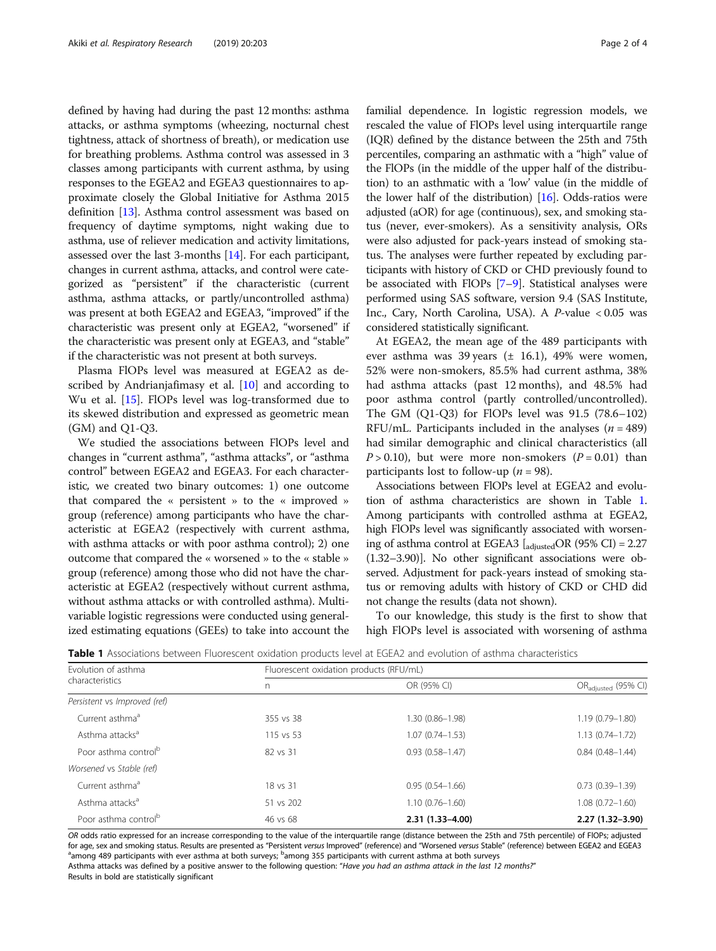defined by having had during the past 12 months: asthma attacks, or asthma symptoms (wheezing, nocturnal chest tightness, attack of shortness of breath), or medication use for breathing problems. Asthma control was assessed in 3 classes among participants with current asthma, by using responses to the EGEA2 and EGEA3 questionnaires to approximate closely the Global Initiative for Asthma 2015 definition [[13](#page-3-0)]. Asthma control assessment was based on frequency of daytime symptoms, night waking due to asthma, use of reliever medication and activity limitations, assessed over the last 3-months [[14](#page-3-0)]. For each participant, changes in current asthma, attacks, and control were categorized as "persistent" if the characteristic (current asthma, asthma attacks, or partly/uncontrolled asthma) was present at both EGEA2 and EGEA3, "improved" if the characteristic was present only at EGEA2, "worsened" if the characteristic was present only at EGEA3, and "stable" if the characteristic was not present at both surveys.

Plasma FlOPs level was measured at EGEA2 as de-scribed by Andrianjafimasy et al. [\[10\]](#page-3-0) and according to Wu et al. [[15\]](#page-3-0). FlOPs level was log-transformed due to its skewed distribution and expressed as geometric mean (GM) and Q1-Q3.

We studied the associations between FlOPs level and changes in "current asthma", "asthma attacks", or "asthma control" between EGEA2 and EGEA3. For each characteristic, we created two binary outcomes: 1) one outcome that compared the « persistent » to the « improved » group (reference) among participants who have the characteristic at EGEA2 (respectively with current asthma, with asthma attacks or with poor asthma control); 2) one outcome that compared the « worsened » to the « stable » group (reference) among those who did not have the characteristic at EGEA2 (respectively without current asthma, without asthma attacks or with controlled asthma). Multivariable logistic regressions were conducted using generalized estimating equations (GEEs) to take into account the familial dependence. In logistic regression models, we rescaled the value of FlOPs level using interquartile range (IQR) defined by the distance between the 25th and 75th percentiles, comparing an asthmatic with a "high" value of the FlOPs (in the middle of the upper half of the distribution) to an asthmatic with a 'low' value (in the middle of the lower half of the distribution)  $[16]$ . Odds-ratios were adjusted (aOR) for age (continuous), sex, and smoking status (never, ever-smokers). As a sensitivity analysis, ORs were also adjusted for pack-years instead of smoking status. The analyses were further repeated by excluding participants with history of CKD or CHD previously found to be associated with FlOPs [[7](#page-3-0)–[9](#page-3-0)]. Statistical analyses were performed using SAS software, version 9.4 (SAS Institute, Inc., Cary, North Carolina, USA). A P-value < 0.05 was considered statistically significant.

At EGEA2, the mean age of the 489 participants with ever asthma was 39 years (± 16.1), 49% were women, 52% were non-smokers, 85.5% had current asthma, 38% had asthma attacks (past 12 months), and 48.5% had poor asthma control (partly controlled/uncontrolled). The GM (Q1-Q3) for FlOPs level was 91.5 (78.6–102) RFU/mL. Participants included in the analyses  $(n = 489)$ had similar demographic and clinical characteristics (all  $P > 0.10$ ), but were more non-smokers ( $P = 0.01$ ) than participants lost to follow-up ( $n = 98$ ).

Associations between FlOPs level at EGEA2 and evolution of asthma characteristics are shown in Table 1. Among participants with controlled asthma at EGEA2, high FlOPs level was significantly associated with worsening of asthma control at EGEA3  $\left[_{\text{adiusted}} \text{OR } (95\% \text{ CI}) = 2.27 \right]$ (1.32–3.90)]. No other significant associations were observed. Adjustment for pack-years instead of smoking status or removing adults with history of CKD or CHD did not change the results (data not shown).

To our knowledge, this study is the first to show that high FlOPs level is associated with worsening of asthma

|  |  |  |  |  |  |  |  |  |  |  | <b>Table 1</b> Associations between Fluorescent oxidation products level at EGEA2 and evolution of asthma characteristics |
|--|--|--|--|--|--|--|--|--|--|--|---------------------------------------------------------------------------------------------------------------------------|
|--|--|--|--|--|--|--|--|--|--|--|---------------------------------------------------------------------------------------------------------------------------|

| Evolution of asthma              | Fluorescent oxidation products (RFU/mL) |                     |                                 |  |  |  |  |
|----------------------------------|-----------------------------------------|---------------------|---------------------------------|--|--|--|--|
| characteristics                  |                                         | OR (95% CI)         | OR <sub>adjusted</sub> (95% CI) |  |  |  |  |
| Persistent vs Improved (ref)     |                                         |                     |                                 |  |  |  |  |
| Current asthma <sup>a</sup>      | 355 vs 38                               | 1.30 (0.86-1.98)    | $1.19(0.79 - 1.80)$             |  |  |  |  |
| Asthma attacks <sup>a</sup>      | 115 vs 53                               | $1.07(0.74 - 1.53)$ | $1.13(0.74 - 1.72)$             |  |  |  |  |
| Poor asthma control <sup>b</sup> | 82 vs 31                                | $0.93(0.58 - 1.47)$ | $0.84(0.48 - 1.44)$             |  |  |  |  |
| Worsened vs Stable (ref)         |                                         |                     |                                 |  |  |  |  |
| Current asthma <sup>a</sup>      | 18 vs 31                                | $0.95(0.54 - 1.66)$ | $0.73(0.39 - 1.39)$             |  |  |  |  |
| Asthma attacks <sup>a</sup>      | 51 vs 202                               | $1.10(0.76 - 1.60)$ | $1.08(0.72 - 1.60)$             |  |  |  |  |
| Poor asthma control <sup>b</sup> | 46 vs 68                                | 2.31 (1.33-4.00)    | $2.27(1.32 - 3.90)$             |  |  |  |  |

OR odds ratio expressed for an increase corresponding to the value of the interquartile range (distance between the 25th and 75th percentile) of FlOPs; adjusted for age, sex and smoking status. Results are presented as "Persistent versus Improved" (reference) and "Worsened versus Stable" (reference) between EGEA2 and EGEA3 among 489 participants with ever asthma at both surveys; <sup>b</sup>among 355 participants with current asthma at both surveys

Asthma attacks was defined by a positive answer to the following question: "Have you had an asthma attack in the last 12 months?" Results in bold are statistically significant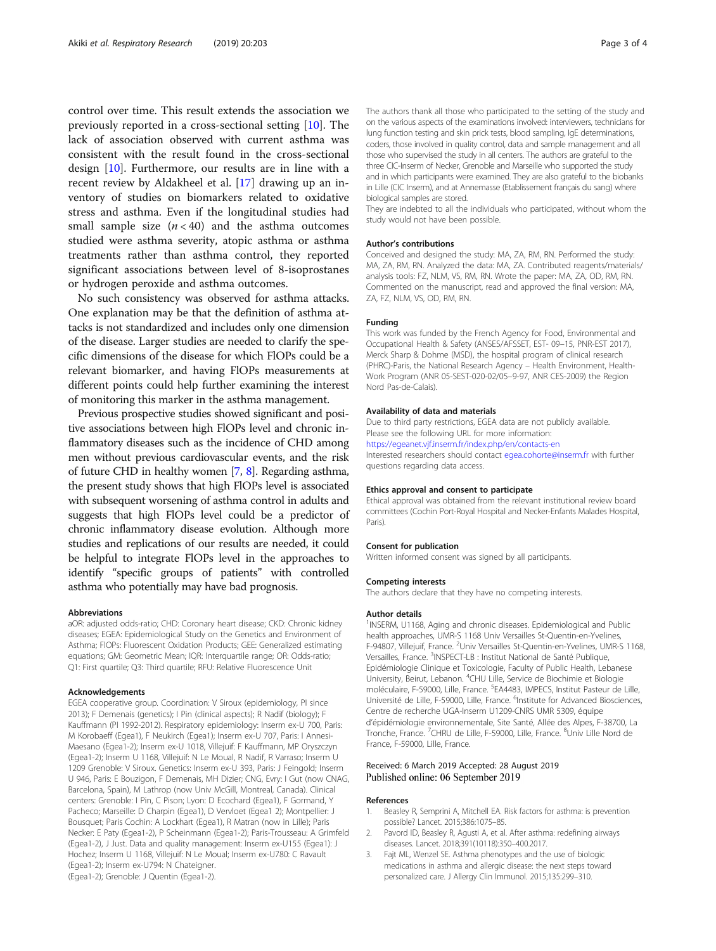<span id="page-2-0"></span>control over time. This result extends the association we previously reported in a cross-sectional setting [[10\]](#page-3-0). The lack of association observed with current asthma was consistent with the result found in the cross-sectional design [\[10\]](#page-3-0). Furthermore, our results are in line with a recent review by Aldakheel et al. [\[17\]](#page-3-0) drawing up an inventory of studies on biomarkers related to oxidative stress and asthma. Even if the longitudinal studies had small sample size  $(n < 40)$  and the asthma outcomes studied were asthma severity, atopic asthma or asthma treatments rather than asthma control, they reported significant associations between level of 8-isoprostanes or hydrogen peroxide and asthma outcomes.

No such consistency was observed for asthma attacks. One explanation may be that the definition of asthma attacks is not standardized and includes only one dimension of the disease. Larger studies are needed to clarify the specific dimensions of the disease for which FlOPs could be a relevant biomarker, and having FlOPs measurements at different points could help further examining the interest of monitoring this marker in the asthma management.

Previous prospective studies showed significant and positive associations between high FlOPs level and chronic inflammatory diseases such as the incidence of CHD among men without previous cardiovascular events, and the risk of future CHD in healthy women [\[7,](#page-3-0) [8](#page-3-0)]. Regarding asthma, the present study shows that high FlOPs level is associated with subsequent worsening of asthma control in adults and suggests that high FlOPs level could be a predictor of chronic inflammatory disease evolution. Although more studies and replications of our results are needed, it could be helpful to integrate FlOPs level in the approaches to identify "specific groups of patients" with controlled asthma who potentially may have bad prognosis.

#### Abbreviations

aOR: adjusted odds-ratio; CHD: Coronary heart disease; CKD: Chronic kidney diseases; EGEA: Epidemiological Study on the Genetics and Environment of Asthma; FlOPs: Fluorescent Oxidation Products; GEE: Generalized estimating equations; GM: Geometric Mean; IQR: Interquartile range; OR: Odds-ratio; Q1: First quartile; Q3: Third quartile; RFU: Relative Fluorescence Unit

#### Acknowledgements

EGEA cooperative group. Coordination: V Siroux (epidemiology, PI since 2013); F Demenais (genetics); I Pin (clinical aspects); R Nadif (biology); F Kauffmann (PI 1992-2012). Respiratory epidemiology: Inserm ex-U 700, Paris: M Korobaeff (Egea1), F Neukirch (Egea1); Inserm ex-U 707, Paris: I Annesi-Maesano (Egea1-2); Inserm ex-U 1018, Villejuif: F Kauffmann, MP Oryszczyn (Egea1-2); Inserm U 1168, Villejuif: N Le Moual, R Nadif, R Varraso; Inserm U 1209 Grenoble: V Siroux. Genetics: Inserm ex-U 393, Paris: J Feingold; Inserm U 946, Paris: E Bouzigon, F Demenais, MH Dizier; CNG, Evry: I Gut (now CNAG, Barcelona, Spain), M Lathrop (now Univ McGill, Montreal, Canada). Clinical centers: Grenoble: I Pin, C Pison; Lyon: D Ecochard (Egea1), F Gormand, Y Pacheco; Marseille: D Charpin (Egea1), D Vervloet (Egea1 2); Montpellier: J Bousquet; Paris Cochin: A Lockhart (Egea1), R Matran (now in Lille); Paris Necker: E Paty (Egea1-2), P Scheinmann (Egea1-2); Paris-Trousseau: A Grimfeld (Egea1-2), J Just. Data and quality management: Inserm ex-U155 (Egea1): J Hochez; Inserm U 1168, Villejuif: N Le Moual; Inserm ex-U780: C Ravault (Egea1-2); Inserm ex-U794: N Chateigner. (Egea1-2); Grenoble: J Quentin (Egea1-2).

The authors thank all those who participated to the setting of the study and on the various aspects of the examinations involved: interviewers, technicians for lung function testing and skin prick tests, blood sampling, IgE determinations, coders, those involved in quality control, data and sample management and all those who supervised the study in all centers. The authors are grateful to the three CIC-Inserm of Necker, Grenoble and Marseille who supported the study and in which participants were examined. They are also grateful to the biobanks in Lille (CIC Inserm), and at Annemasse (Etablissement français du sang) where biological samples are stored.

They are indebted to all the individuals who participated, without whom the study would not have been possible.

#### Author's contributions

Conceived and designed the study: MA, ZA, RM, RN. Performed the study: MA, ZA, RM, RN. Analyzed the data: MA, ZA. Contributed reagents/materials/ analysis tools: FZ, NLM, VS, RM, RN. Wrote the paper: MA, ZA, OD, RM, RN. Commented on the manuscript, read and approved the final version: MA, ZA, FZ, NLM, VS, OD, RM, RN.

#### Funding

This work was funded by the French Agency for Food, Environmental and Occupational Health & Safety (ANSES/AFSSET, EST- 09–15, PNR-EST 2017), Merck Sharp & Dohme (MSD), the hospital program of clinical research (PHRC)-Paris, the National Research Agency – Health Environment, Health-Work Program (ANR 05-SEST-020-02/05–9-97, ANR CES-2009) the Region Nord Pas-de-Calais).

#### Availability of data and materials

Due to third party restrictions, EGEA data are not publicly available. Please see the following URL for more information: <https://egeanet.vjf.inserm.fr/index.php/en/contacts-en>

Interested researchers should contact [egea.cohorte@inserm.fr](mailto:egea.cohorte@inserm.fr) with further questions regarding data access.

#### Ethics approval and consent to participate

Ethical approval was obtained from the relevant institutional review board committees (Cochin Port-Royal Hospital and Necker-Enfants Malades Hospital, Paris).

#### Consent for publication

Written informed consent was signed by all participants.

#### Competing interests

The authors declare that they have no competing interests.

#### Author details

<sup>1</sup>INSERM, U1168, Aging and chronic diseases. Epidemiological and Public health approaches, UMR-S 1168 Univ Versailles St-Quentin-en-Yvelines, F-94807, Villejuif, France. <sup>2</sup>Univ Versailles St-Quentin-en-Yvelines, UMR-S 1168, Versailles, France. <sup>3</sup>INSPECT-LB : Institut National de Santé Publique Epidémiologie Clinique et Toxicologie, Faculty of Public Health, Lebanese University, Beirut, Lebanon. <sup>4</sup>CHU Lille, Service de Biochimie et Biologie moléculaire, F-59000, Lille, France. <sup>5</sup>EA4483, IMPECS, Institut Pasteur de Lille, Université de Lille, F-59000, Lille, France. <sup>6</sup>Institute for Advanced Biosciences, Centre de recherche UGA-Inserm U1209-CNRS UMR 5309, équipe d'épidémiologie environnementale, Site Santé, Allée des Alpes, F-38700, La Tronche, France. <sup>7</sup>CHRU de Lille, F-59000, Lille, France. <sup>8</sup>Univ Lille Nord de France, F-59000, Lille, France.

### Received: 6 March 2019 Accepted: 28 August 2019 Published online: 06 September 2019

#### References

- 1. Beasley R, Semprini A, Mitchell EA. Risk factors for asthma: is prevention possible? Lancet. 2015;386:1075–85.
- Pavord ID, Beasley R, Agusti A, et al. After asthma: redefining airways diseases. Lancet. 2018;391(10118):350–400.2017.
- Fajt ML, Wenzel SE. Asthma phenotypes and the use of biologic medications in asthma and allergic disease: the next steps toward personalized care. J Allergy Clin Immunol. 2015;135:299–310.